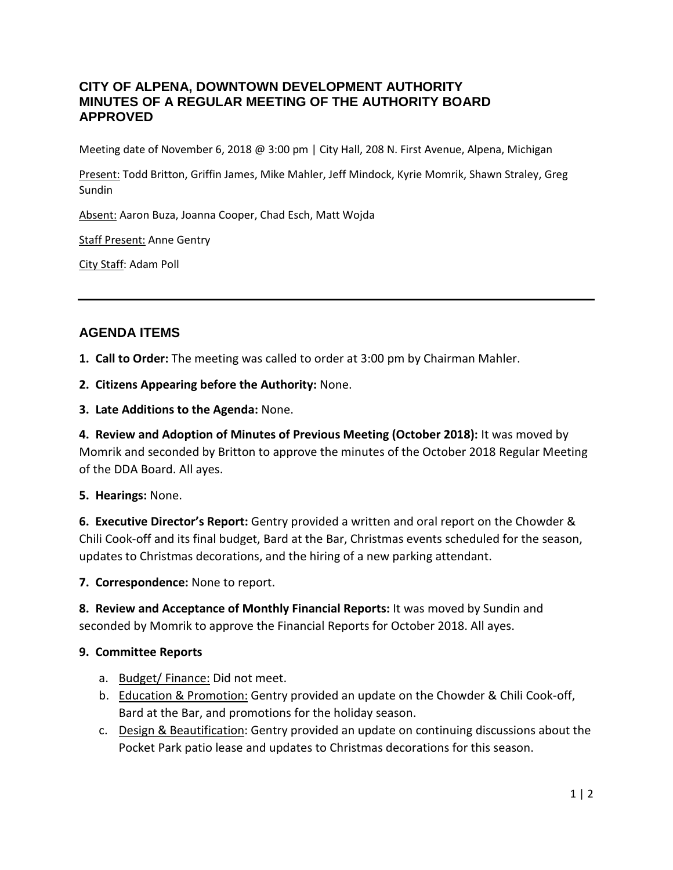## **CITY OF ALPENA, DOWNTOWN DEVELOPMENT AUTHORITY MINUTES OF A REGULAR MEETING OF THE AUTHORITY BOARD APPROVED**

Meeting date of November 6, 2018 @ 3:00 pm | City Hall, 208 N. First Avenue, Alpena, Michigan

Present: Todd Britton, Griffin James, Mike Mahler, Jeff Mindock, Kyrie Momrik, Shawn Straley, Greg Sundin

Absent: Aaron Buza, Joanna Cooper, Chad Esch, Matt Wojda

Staff Present: Anne Gentry

City Staff: Adam Poll

## **AGENDA ITEMS**

**1. Call to Order:** The meeting was called to order at 3:00 pm by Chairman Mahler.

**2. Citizens Appearing before the Authority:** None.

**3. Late Additions to the Agenda:** None.

**4. Review and Adoption of Minutes of Previous Meeting (October 2018):** It was moved by Momrik and seconded by Britton to approve the minutes of the October 2018 Regular Meeting of the DDA Board. All ayes.

## **5. Hearings:** None.

**6. Executive Director's Report:** Gentry provided a written and oral report on the Chowder & Chili Cook-off and its final budget, Bard at the Bar, Christmas events scheduled for the season, updates to Christmas decorations, and the hiring of a new parking attendant.

**7. Correspondence:** None to report.

**8. Review and Acceptance of Monthly Financial Reports:** It was moved by Sundin and seconded by Momrik to approve the Financial Reports for October 2018. All ayes.

## **9. Committee Reports**

- a. Budget/ Finance: Did not meet.
- b. Education & Promotion: Gentry provided an update on the Chowder & Chili Cook-off, Bard at the Bar, and promotions for the holiday season.
- c. Design & Beautification: Gentry provided an update on continuing discussions about the Pocket Park patio lease and updates to Christmas decorations for this season.